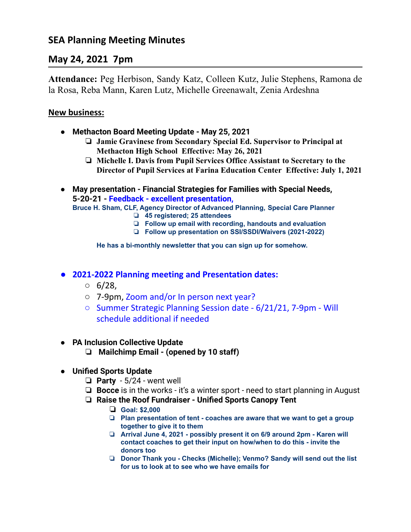# **SEA Planning Meeting Minutes**

## **May 24, 2021 7pm**

**Attendance:** Peg Herbison, Sandy Katz, Colleen Kutz, Julie Stephens, Ramona de la Rosa, Reba Mann, Karen Lutz, Michelle Greenawalt, Zenia Ardeshna

#### **New business:**

- **● Methacton Board Meeting Update May 25, 2021**
	- ❏ **Jamie Gravinese from Secondary Special Ed. Supervisor to Principal at Methacton High School Effective: May 26, 2021**
	- ❏ **Michelle I. Davis from Pupil Services Office Assistant to Secretary to the Director of Pupil Services at Farina Education Center Effective: July 1, 2021**
- **● May presentation Financial Strategies for Families with Special Needs, 5-20-21 - Feedback - excellent presentation,**

**Bruce H. Sham, CLF, Agency Director of Advanced Planning, Special Care Planner**

- ❏ **45 registered; 25 attendees**
	- ❏ **Follow up email with recording, handouts and evaluation**
	- ❏ **Follow up presentation on SSI/SSDI/Waivers (2021-2022)**

**He has a bi-monthly newsletter that you can sign up for somehow.**

#### **● 2021-2022 Planning meeting and Presentation dates:**

- $\circ$  6/28,
- 7-9pm, Zoom and/or In person next year?
- Summer Strategic Planning Session date 6/21/21, 7-9pm Will schedule additional if needed

#### **● PA Inclusion Collective Update**

- ❏ **Mailchimp Email (opened by 10 staff)**
- **● Unified Sports Update**
	- ❏ **Party** 5/24 went well
	- ❏ **Bocce** is in the works it's a winter sport need to start planning in August
	- ❏ **Raise the Roof Fundraiser Unified Sports Canopy Tent**
		- ❏ **Goal: \$2,000**
		- ❏ **Plan presentation of tent - coaches are aware that we want to get a group together to give it to them**
		- ❏ **Arrival June 4, 2021 - possibly present it on 6/9 around 2pm - Karen will contact coaches to get their input on how/when to do this - invite the donors too**
		- ❏ **Donor Thank you - Checks (Michelle); Venmo? Sandy will send out the list for us to look at to see who we have emails for**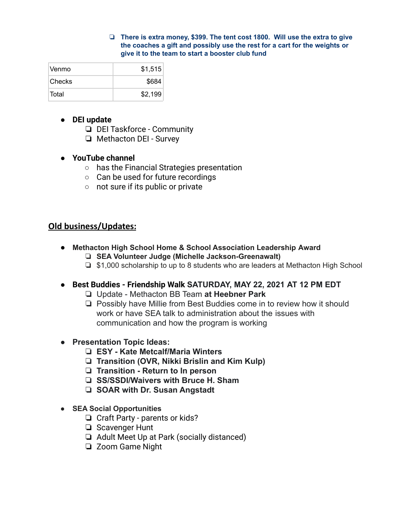#### ❏ **There is extra money, \$399. The tent cost 1800. Will use the extra to give the coaches a gift and possibly use the rest for a cart for the weights or give it to the team to start a booster club fund**

| Venmo   | \$1,515 |  |
|---------|---------|--|
| ⊺Checks | \$684   |  |
| ⊺Total  | \$2,199 |  |

### **● DEI update**

- ❏ DEI Taskforce Community
- ❏ Methacton DEI Survey

#### **● YouTube channel**

- has the Financial Strategies presentation
- Can be used for future recordings
- not sure if its public or private

## **Old business/Updates:**

- **Methacton High School Home & School Association Leadership Award** ❏ **SEA Volunteer Judge (Michelle Jackson-Greenawalt)**
	- ❏ \$1,000 scholarship to up to 8 students who are leaders at Methacton High School

#### **● Best Buddies - Friendship Walk SATURDAY, MAY 22, 2021 AT 12 PM EDT**

- ❏ Update Methacton BB Team **at Heebner Park**
- ❏ Possibly have Millie from Best Buddies come in to review how it should work or have SEA talk to administration about the issues with communication and how the program is working
- **● Presentation Topic Ideas:**
	- ❏ **ESY Kate Metcalf/Maria Winters**
	- ❏ **Transition (OVR, Nikki Brislin and Kim Kulp)**
	- ❏ **Transition Return to In person**
	- ❏ **SS/SSDI/Waivers with Bruce H. Sham**
	- ❏ **SOAR with Dr. Susan Angstadt**
- **● SEA Social Opportunities**
	- ❏ Craft Party parents or kids?
	- ❏ Scavenger Hunt
	- ❏ Adult Meet Up at Park (socially distanced)
	- ❏ Zoom Game Night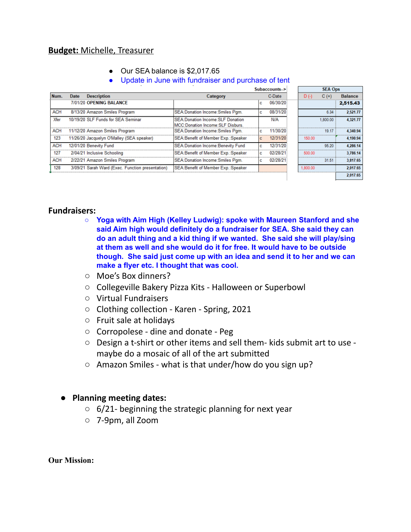### **Budget:** Michelle, Treasurer

- Our SEA balance is \$2,017.65
- Update in June with fundraiser and purchase of tent

| Num.       | Date | <b>Description</b>                               | Category                                                                    |   | C-Date   |
|------------|------|--------------------------------------------------|-----------------------------------------------------------------------------|---|----------|
|            |      | 7/01/20 OPENING BALANCE                          |                                                                             | c | 06/30/20 |
| <b>ACH</b> |      | 8/13/20 Amazon Smiles Program                    | SEA:Donation Income:Smiles Pgm.                                             | c | 08/31/20 |
| Xfer       |      | 10/19/20 SLF Funds for SEA Seminar               | <b>SEA:Donation Income:SLF Donation</b><br>MCC:Donation Income:SLF Disburs. |   | N/A      |
| <b>ACH</b> |      | 11/12/20 Amazon Smiles Program                   | SEA: Donation Income: Smiles Pam.                                           | с | 11/30/20 |
| 123        |      | 11/26/20 Jacquelyn O'Malley (SEA speaker)        | SEA: Benefit of Member Exp.: Speaker                                        | с | 12/31/20 |
| <b>ACH</b> |      | 12/01/20 Benevity Fund                           | SEA: Donation Income: Benevity Fund                                         | c | 12/31/20 |
| 127        |      | 2/04/21 Inclusive Schooling                      | SEA: Benefit of Member Exp.: Speaker                                        | c | 02/28/21 |
| <b>ACH</b> |      | 2/22/21 Amazon Smiles Program                    | SEA:Donation Income:Smiles Pam.                                             | c | 02/28/21 |
| 128        |      | 3/09/21 Sarah Ward (Exec. Function presentation) | SEA: Benefit of Member Exp.: Speaker                                        |   |          |

| <b>SEA Ops</b> |          |                |  |  |
|----------------|----------|----------------|--|--|
| $D(-)$         | $C(+)$   | <b>Balance</b> |  |  |
|                |          | 2,515.43       |  |  |
|                | 6.34     | 2,521.77       |  |  |
|                | 1.800.00 | 4.321.77       |  |  |
|                | 19.17    | 4,340.94       |  |  |
| 150.00         |          | 4.190.94       |  |  |
|                | 95.20    | 4.286.14       |  |  |
| 500.00         |          | 3.786.14       |  |  |
|                | 31.51    | 3,817.65       |  |  |
| 1,800.00       |          | 2,017.65       |  |  |
|                |          | 2.017.65       |  |  |

#### **Fundraisers:**

- **○ Yoga with Aim High (Kelley Ludwig): spoke with Maureen Stanford and she said Aim high would definitely do a fundraiser for SEA. She said they can do an adult thing and a kid thing if we wanted. She said she will play/sing at them as well and she would do it for free. It would have to be outside though. She said just come up with an idea and send it to her and we can make a flyer etc. I thought that was cool.**
- Moe's Box dinners?
- Collegeville Bakery Pizza Kits Halloween or Superbowl
- Virtual Fundraisers
- Clothing collection Karen Spring, 2021
- Fruit sale at holidays
- Corropolese dine and donate Peg
- Design a t-shirt or other items and sell them- kids submit art to use maybe do a mosaic of all of the art submitted
- Amazon Smiles what is that under/how do you sign up?

#### **● Planning meeting dates:**

- $\circ$  6/21- beginning the strategic planning for next year
- 7-9pm, all Zoom

**Our Mission:**